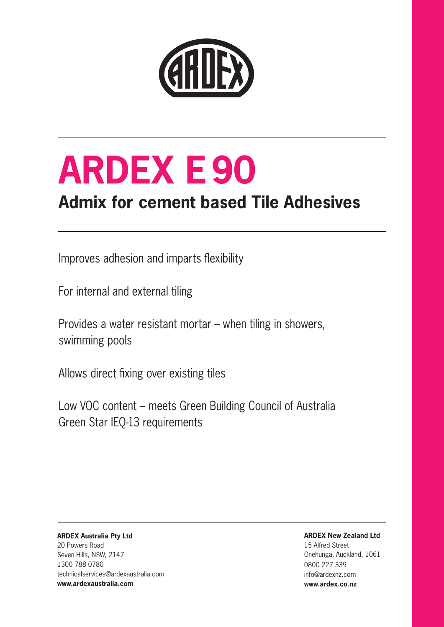

# **ARDEX E90**

# **Admix for cement based Tile Adhesives**

Improves adhesion and imparts flexibility

For internal and external tiling

Provides a water resistant mortar – when tiling in showers, swimming pools

Allows direct fixing over existing tiles

Low VOC content – meets Green Building Council of Australia Green Star IEQ-13 requirements

**ARDEX Australia Pty Ltd**  20 Powers Road Seven Hills, NSW, 2147 1300 788 0780 technicalservices@ardexaustralia.com **www.ardexaustralia.com** 

**ARDEX New Zealand Ltd** 

15 Alfred Street Onehunga, Auckland, 1061 0800 227 339 info@ardexnz.com **www.ardex.co.nz**